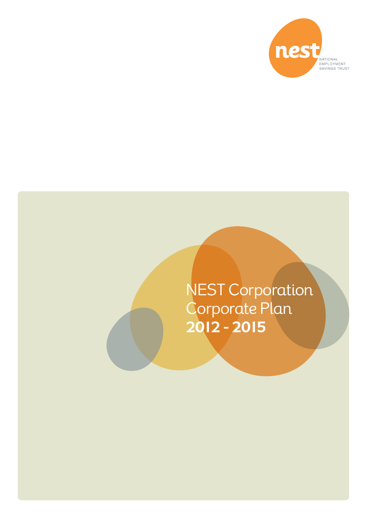

# NEST Corporation Corporate Plan **2012 - 2015**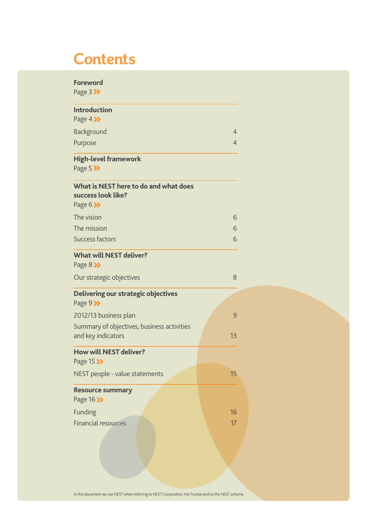# **Contents**

| <b>Foreword</b>                                                         |                |  |
|-------------------------------------------------------------------------|----------------|--|
| Page 3>>                                                                |                |  |
| <b>Introduction</b>                                                     |                |  |
| Page 4>>                                                                |                |  |
| Background                                                              | $\overline{4}$ |  |
| Purpose                                                                 | $\overline{4}$ |  |
| <b>High-level framework</b><br>Page 5 >>>                               |                |  |
| What is NEST here to do and what does<br>success look like?<br>Page 6>> |                |  |
| The vision                                                              | 6              |  |
| The mission                                                             | 6              |  |
| <b>Success factors</b>                                                  | 6              |  |
| <b>What will NEST deliver?</b><br>Page 8>>                              |                |  |
| Our strategic objectives                                                | 8              |  |
| Delivering our strategic objectives<br>Page 9>>                         |                |  |
| 2012/13 business plan                                                   | 9              |  |
| Summary of objectives, business activities<br>and key indicators        | 13             |  |
| <b>How will NEST deliver?</b><br>Page 15 >>                             |                |  |
| NEST people - value statements                                          | 15             |  |
| <b>Resource summary</b><br>Page 16 >>                                   |                |  |
| Funding                                                                 | 16             |  |
| <b>Financial resources</b>                                              | 17             |  |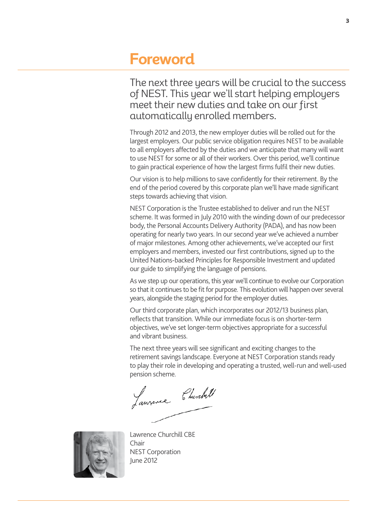# **Foreword**

The next three years will be crucial to the success of NEST. This year we'll start helping employers meet their new duties and take on our first automatically enrolled members.

Through 2012 and 2013, the new employer duties will be rolled out for the largest employers. Our public service obligation requires NEST to be available to all employers affected by the duties and we anticipate that many will want to use NEST for some or all of their workers. Over this period, we'll continue to gain practical experience of how the largest firms fulfil their new duties.

Our vision is to help millions to save confidently for their retirement. By the end of the period covered by this corporate plan we'll have made significant steps towards achieving that vision.

NEST Corporation is the Trustee established to deliver and run the NEST scheme. It was formed in July 2010 with the winding down of our predecessor body, the Personal Accounts Delivery Authority (PADA), and has now been operating for nearly two years. In our second year we've achieved a number of major milestones. Among other achievements, we've accepted our first employers and members, invested our first contributions, signed up to the United Nations-backed Principles for Responsible Investment and updated our guide to simplifying the language of pensions.

As we step up our operations, this year we'll continue to evolve our Corporation so that it continues to be fit for purpose. This evolution will happen over several years, alongside the staging period for the employer duties.

Our third corporate plan, which incorporates our 2012/13 business plan, reflects that transition. While our immediate focus is on shorter-term objectives, we've set longer-term objectives appropriate for a successful and vibrant business.

The next three years will see significant and exciting changes to the retirement savings landscape. Everyone at NEST Corporation stands ready to play their role in developing and operating a trusted, well-run and well-used pension scheme.

Lanvence Churchill



Lawrence Churchill CBE Chair NEST Corporation June 2012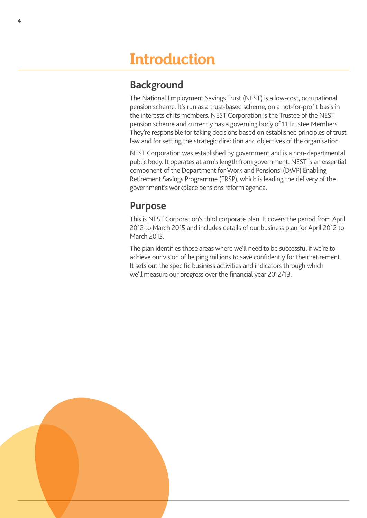# **Introduction**

## **Background**

The National Employment Savings Trust (NEST) is a low-cost, occupational pension scheme. It's run as a trust-based scheme, on a not-for-profit basis in the interests of its members. NEST Corporation is the Trustee of the NEST pension scheme and currently has a governing body of 11 Trustee Members. They're responsible for taking decisions based on established principles of trust law and for setting the strategic direction and objectives of the organisation.

NEST Corporation was established by government and is a non-departmental public body. It operates at arm's length from government. NEST is an essential component of the Department for Work and Pensions' (DWP) Enabling Retirement Savings Programme (ERSP), which is leading the delivery of the government's workplace pensions reform agenda.

## **Purpose**

This is NEST Corporation's third corporate plan. It covers the period from April 2012 to March 2015 and includes details of our business plan for April 2012 to March 2013.

The plan identifies those areas where we'll need to be successful if we're to achieve our vision of helping millions to save confidently for their retirement. It sets out the specific business activities and indicators through which we'll measure our progress over the financial year 2012/13.

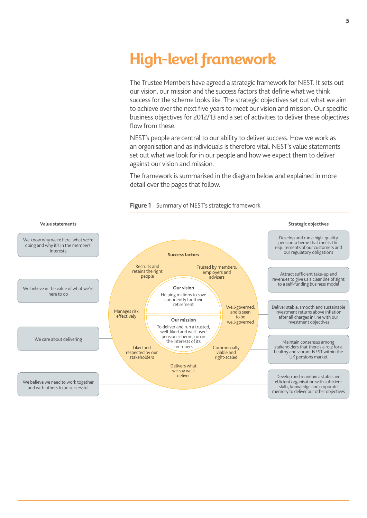# **High-level framework**

The Trustee Members have agreed a strategic framework for NEST. It sets out our vision, our mission and the success factors that define what we think success for the scheme looks like. The strategic objectives set out what we aim to achieve over the next five years to meet our vision and mission. Our specific business objectives for 2012/13 and a set of activities to deliver these objectives flow from these.

NEST's people are central to our ability to deliver success. How we work as an organisation and as individuals is therefore vital. NEST's value statements set out what we look for in our people and how we expect them to deliver against our vision and mission.

The framework is summarised in the diagram below and explained in more detail over the pages that follow.



#### **Figure 1** Summary of NEST's strategic framework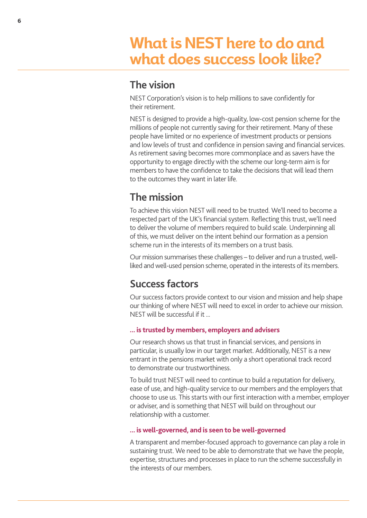# **What is NEST here to do and what does success look like?**

## **The vision**

NEST Corporation's vision is to help millions to save confidently for their retirement.

NEST is designed to provide a high-quality, low-cost pension scheme for the millions of people not currently saving for their retirement. Many of these people have limited or no experience of investment products or pensions and low levels of trust and confidence in pension saving and financial services. As retirement saving becomes more commonplace and as savers have the opportunity to engage directly with the scheme our long-term aim is for members to have the confidence to take the decisions that will lead them to the outcomes they want in later life.

## **The mission**

To achieve this vision NEST will need to be trusted. We'll need to become a respected part of the UK's financial system. Reflecting this trust, we'll need to deliver the volume of members required to build scale. Underpinning all of this, we must deliver on the intent behind our formation as a pension scheme run in the interests of its members on a trust basis.

Our mission summarises these challenges – to deliver and run a trusted, wellliked and well-used pension scheme, operated in the interests of its members.

## **Success factors**

Our success factors provide context to our vision and mission and help shape our thinking of where NEST will need to excel in order to achieve our mission. NEST will be successful if it ...

### **... is trusted by members, employers and advisers**

Our research shows us that trust in financial services, and pensions in particular, is usually low in our target market. Additionally, NEST is a new entrant in the pensions market with only a short operational track record to demonstrate our trustworthiness.

To build trust NEST will need to continue to build a reputation for delivery, ease of use, and high-quality service to our members and the employers that choose to use us. This starts with our first interaction with a member, employer or adviser, and is something that NEST will build on throughout our relationship with a customer.

### **... is well-governed, and is seen to be well-governed**

A transparent and member-focused approach to governance can play a role in sustaining trust. We need to be able to demonstrate that we have the people, expertise, structures and processes in place to run the scheme successfully in the interests of our members.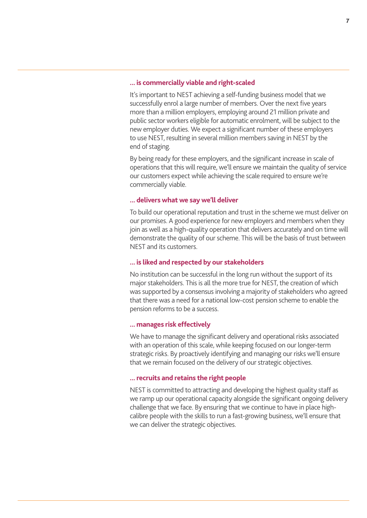#### **... is commercially viable and right-scaled**

It's important to NEST achieving a self-funding business model that we successfully enrol a large number of members. Over the next five years more than a million employers, employing around 21 million private and public sector workers eligible for automatic enrolment, will be subject to the new employer duties. We expect a significant number of these employers to use NEST, resulting in several million members saving in NEST by the end of staging.

By being ready for these employers, and the significant increase in scale of operations that this will require, we'll ensure we maintain the quality of service our customers expect while achieving the scale required to ensure we're commercially viable.

#### **... delivers what we say we'll deliver**

To build our operational reputation and trust in the scheme we must deliver on our promises. A good experience for new employers and members when they join as well as a high-quality operation that delivers accurately and on time will demonstrate the quality of our scheme. This will be the basis of trust between NEST and its customers.

#### **... is liked and respected by our stakeholders**

No institution can be successful in the long run without the support of its major stakeholders. This is all the more true for NEST, the creation of which was supported by a consensus involving a majority of stakeholders who agreed that there was a need for a national low-cost pension scheme to enable the pension reforms to be a success.

#### **... manages risk effectively**

We have to manage the significant delivery and operational risks associated with an operation of this scale, while keeping focused on our longer-term strategic risks. By proactively identifying and managing our risks we'll ensure that we remain focused on the delivery of our strategic objectives.

#### **... recruits and retains the right people**

NEST is committed to attracting and developing the highest quality staff as we ramp up our operational capacity alongside the significant ongoing delivery challenge that we face. By ensuring that we continue to have in place highcalibre people with the skills to run a fast-growing business, we'll ensure that we can deliver the strategic objectives.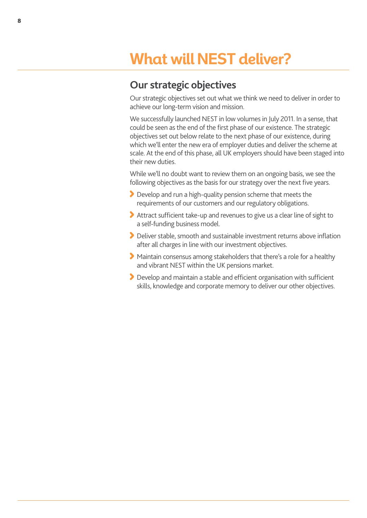# **What will NEST deliver?**

### **Our strategic objectives**

Our strategic objectives set out what we think we need to deliver in order to achieve our long-term vision and mission.

We successfully launched NEST in low volumes in July 2011. In a sense, that could be seen as the end of the first phase of our existence. The strategic objectives set out below relate to the next phase of our existence, during which we'll enter the new era of employer duties and deliver the scheme at scale. At the end of this phase, all UK employers should have been staged into their new duties.

While we'll no doubt want to review them on an ongoing basis, we see the following objectives as the basis for our strategy over the next five years.

- Develop and run a high-quality pension scheme that meets the requirements of our customers and our regulatory obligations.
- Attract sufficient take-up and revenues to give us a clear line of sight to a self-funding business model.
- Deliver stable, smooth and sustainable investment returns above inflation after all charges in line with our investment objectives.
- Maintain consensus among stakeholders that there's a role for a healthy and vibrant NEST within the UK pensions market.
- Develop and maintain a stable and efficient organisation with sufficient skills, knowledge and corporate memory to deliver our other objectives.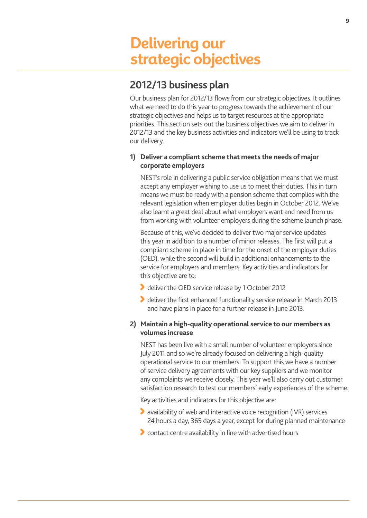# **Delivering our strategic objectives**

## **2012/13 business plan**

Our business plan for 2012/13 flows from our strategic objectives. It outlines what we need to do this year to progress towards the achievement of our strategic objectives and helps us to target resources at the appropriate priorities. This section sets out the business objectives we aim to deliver in 2012/13 and the key business activities and indicators we'll be using to track our delivery.

### **1) Deliver a compliant scheme that meets the needs of major corporate employers**

NEST's role in delivering a public service obligation means that we must accept any employer wishing to use us to meet their duties. This in turn means we must be ready with a pension scheme that complies with the relevant legislation when employer duties begin in October 2012. We've also learnt a great deal about what employers want and need from us from working with volunteer employers during the scheme launch phase.

Because of this, we've decided to deliver two major service updates this year in addition to a number of minor releases. The first will put a compliant scheme in place in time for the onset of the employer duties (OED), while the second will build in additional enhancements to the service for employers and members. Key activities and indicators for this objective are to:

- deliver the OED service release by 1 October 2012
- deliver the first enhanced functionality service release in March 2013 and have plans in place for a further release in June 2013.

### **2) Maintain a high-quality operational service to our members as volumes increase**

NEST has been live with a small number of volunteer employers since July 2011 and so we're already focused on delivering a high-quality operational service to our members. To support this we have a number of service delivery agreements with our key suppliers and we monitor any complaints we receive closely. This year we'll also carry out customer satisfaction research to test our members' early experiences of the scheme.

- availability of web and interactive voice recognition (IVR) services 24 hours a day, 365 days a year, except for during planned maintenance
- **D** contact centre availability in line with advertised hours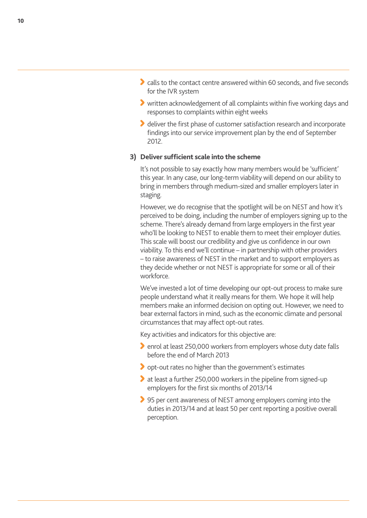- **Example 2 calls to the contact centre answered within 60 seconds, and five seconds** for the IVR system
- written acknowledgement of all complaints within five working days and responses to complaints within eight weeks
- deliver the first phase of customer satisfaction research and incorporate findings into our service improvement plan by the end of September 2012.

#### **3) Deliver sufficient scale into the scheme**

It's not possible to say exactly how many members would be 'sufficient' this year. In any case, our long-term viability will depend on our ability to bring in members through medium-sized and smaller employers later in staging.

However, we do recognise that the spotlight will be on NEST and how it's perceived to be doing, including the number of employers signing up to the scheme. There's already demand from large employers in the first year who'll be looking to NEST to enable them to meet their employer duties. This scale will boost our credibility and give us confidence in our own viability. To this end we'll continue – in partnership with other providers – to raise awareness of NEST in the market and to support employers as they decide whether or not NEST is appropriate for some or all of their workforce.

We've invested a lot of time developing our opt-out process to make sure people understand what it really means for them. We hope it will help members make an informed decision on opting out. However, we need to bear external factors in mind, such as the economic climate and personal circumstances that may affect opt-out rates.

- enrol at least 250,000 workers from employers whose duty date falls before the end of March 2013
- opt-out rates no higher than the government's estimates
- at least a further 250,000 workers in the pipeline from signed-up employers for the first six months of 2013/14
- ◆ 95 per cent awareness of NEST among employers coming into the duties in 2013/14 and at least 50 per cent reporting a positive overall perception.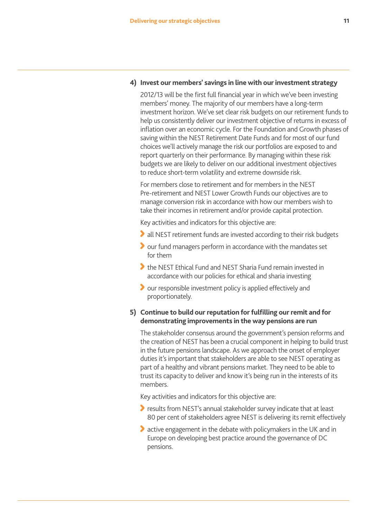#### **4) Invest our members' savings in line with our investment strategy**

2012/13 will be the first full financial year in which we've been investing members' money. The majority of our members have a long-term investment horizon. We've set clear risk budgets on our retirement funds to help us consistently deliver our investment objective of returns in excess of inflation over an economic cycle. For the Foundation and Growth phases of saving within the NEST Retirement Date Funds and for most of our fund choices we'll actively manage the risk our portfolios are exposed to and report quarterly on their performance. By managing within these risk budgets we are likely to deliver on our additional investment objectives to reduce short-term volatility and extreme downside risk.

For members close to retirement and for members in the NEST Pre-retirement and NEST Lower Growth Funds our objectives are to manage conversion risk in accordance with how our members wish to take their incomes in retirement and/or provide capital protection.

Key activities and indicators for this objective are:

- all NEST retirement funds are invested according to their risk budgets
- **D** our fund managers perform in accordance with the mandates set for them
- If the NEST Ethical Fund and NEST Sharia Fund remain invested in accordance with our policies for ethical and sharia investing
- **D** our responsible investment policy is applied effectively and proportionately.

#### **5) Continue to build our reputation for fulfilling our remit and for demonstrating improvements in the way pensions are run**

The stakeholder consensus around the government's pension reforms and the creation of NEST has been a crucial component in helping to build trust in the future pensions landscape. As we approach the onset of employer duties it's important that stakeholders are able to see NEST operating as part of a healthy and vibrant pensions market. They need to be able to trust its capacity to deliver and know it's being run in the interests of its members.

- **P** results from NEST's annual stakeholder survey indicate that at least 80 per cent of stakeholders agree NEST is delivering its remit effectively
- **Example 2** active engagement in the debate with policymakers in the UK and in Europe on developing best practice around the governance of DC pensions.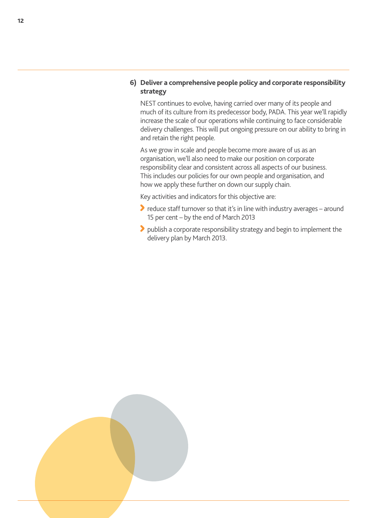#### **6) Deliver a comprehensive people policy and corporate responsibility strategy**

NEST continues to evolve, having carried over many of its people and much of its culture from its predecessor body, PADA. This year we'll rapidly increase the scale of our operations while continuing to face considerable delivery challenges. This will put ongoing pressure on our ability to bring in and retain the right people.

As we grow in scale and people become more aware of us as an organisation, we'll also need to make our position on corporate responsibility clear and consistent across all aspects of our business. This includes our policies for our own people and organisation, and how we apply these further on down our supply chain.

- $\blacktriangleright$  reduce staff turnover so that it's in line with industry averages around 15 per cent – by the end of March 2013
- publish a corporate responsibility strategy and begin to implement the delivery plan by March 2013.

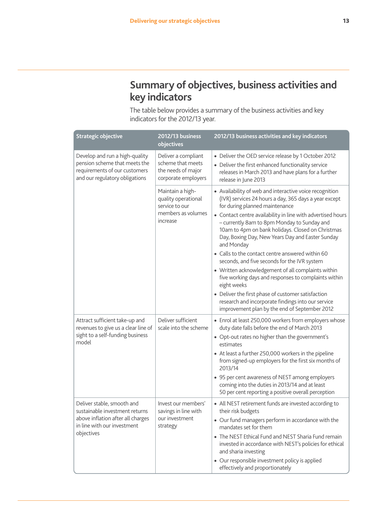## **Summary of objectives, business activities and key indicators**

The table below provides a summary of the business activities and key indicators for the 2012/13 year.

| <b>Strategic objective</b>                                                                                                                     | 2012/13 business<br>objectives                                                              | 2012/13 business activities and key indicators                                                                                                                                                                                                                                                                                                                                                                                                                                                                                                                                                                                                                                                                                                                                        |
|------------------------------------------------------------------------------------------------------------------------------------------------|---------------------------------------------------------------------------------------------|---------------------------------------------------------------------------------------------------------------------------------------------------------------------------------------------------------------------------------------------------------------------------------------------------------------------------------------------------------------------------------------------------------------------------------------------------------------------------------------------------------------------------------------------------------------------------------------------------------------------------------------------------------------------------------------------------------------------------------------------------------------------------------------|
| Develop and run a high-quality<br>pension scheme that meets the<br>requirements of our customers<br>and our regulatory obligations             | Deliver a compliant<br>scheme that meets<br>the needs of major<br>corporate employers       | • Deliver the OED service release by 1 October 2012<br>• Deliver the first enhanced functionality service<br>releases in March 2013 and have plans for a further<br>release in June 2013                                                                                                                                                                                                                                                                                                                                                                                                                                                                                                                                                                                              |
|                                                                                                                                                | Maintain a high-<br>quality operational<br>service to our<br>members as volumes<br>increase | • Availability of web and interactive voice recognition<br>(IVR) services 24 hours a day, 365 days a year except<br>for during planned maintenance<br>• Contact centre availability in line with advertised hours<br>- currently 8am to 8pm Monday to Sunday and<br>10am to 4pm on bank holidays. Closed on Christmas<br>Day, Boxing Day, New Years Day and Easter Sunday<br>and Monday<br>• Calls to the contact centre answered within 60<br>seconds, and five seconds for the IVR system<br>• Written acknowledgement of all complaints within<br>five working days and responses to complaints within<br>eight weeks<br>• Deliver the first phase of customer satisfaction<br>research and incorporate findings into our service<br>improvement plan by the end of September 2012 |
| Attract sufficient take-up and<br>revenues to give us a clear line of<br>sight to a self-funding business<br>model                             | Deliver sufficient<br>scale into the scheme                                                 | • Enrol at least 250,000 workers from employers whose<br>duty date falls before the end of March 2013<br>• Opt-out rates no higher than the government's<br>estimates<br>• At least a further 250,000 workers in the pipeline<br>from signed-up employers for the first six months of<br>2013/14<br>• 95 per cent awareness of NEST among employers<br>coming into the duties in 2013/14 and at least<br>50 per cent reporting a positive overall perception                                                                                                                                                                                                                                                                                                                          |
| Deliver stable, smooth and<br>sustainable investment returns<br>above inflation after all charges<br>in line with our investment<br>objectives | Invest our members'<br>savings in line with<br>our investment<br>strategy                   | • All NEST retirement funds are invested according to<br>their risk budgets<br>• Our fund managers perform in accordance with the<br>mandates set for them<br>• The NEST Ethical Fund and NEST Sharia Fund remain<br>invested in accordance with NEST's policies for ethical<br>and sharia investing<br>• Our responsible investment policy is applied<br>effectively and proportionately                                                                                                                                                                                                                                                                                                                                                                                             |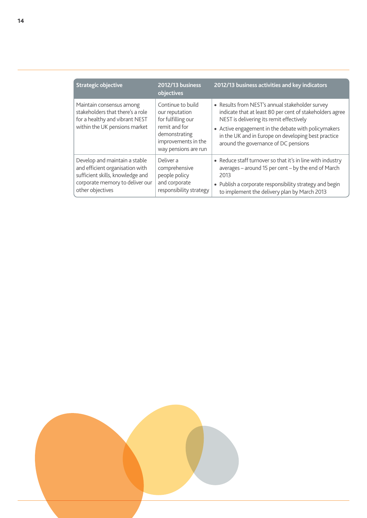| <b>Strategic objective</b>                                                                                                                                  | 2012/13 business<br>objectives                                                                                                             | 2012/13 business activities and key indicators                                                                                                                                                                                                                                                                |
|-------------------------------------------------------------------------------------------------------------------------------------------------------------|--------------------------------------------------------------------------------------------------------------------------------------------|---------------------------------------------------------------------------------------------------------------------------------------------------------------------------------------------------------------------------------------------------------------------------------------------------------------|
| Maintain consensus among<br>stakeholders that there's a role<br>for a healthy and vibrant NEST<br>within the UK pensions market                             | Continue to build<br>our reputation<br>for fulfilling our<br>remit and for<br>demonstrating<br>improvements in the<br>way pensions are run | • Results from NEST's annual stakeholder survey<br>indicate that at least 80 per cent of stakeholders agree<br>NEST is delivering its remit effectively<br>• Active engagement in the debate with policymakers<br>in the UK and in Europe on developing best practice<br>around the governance of DC pensions |
| Develop and maintain a stable<br>and efficient organisation with<br>sufficient skills, knowledge and<br>corporate memory to deliver our<br>other objectives | Deliver a<br>comprehensive<br>people policy<br>and corporate<br>responsibility strategy                                                    | • Reduce staff turnover so that it's in line with industry<br>averages - around 15 per cent - by the end of March<br>2013<br>• Publish a corporate responsibility strategy and begin<br>to implement the delivery plan by March 2013                                                                          |

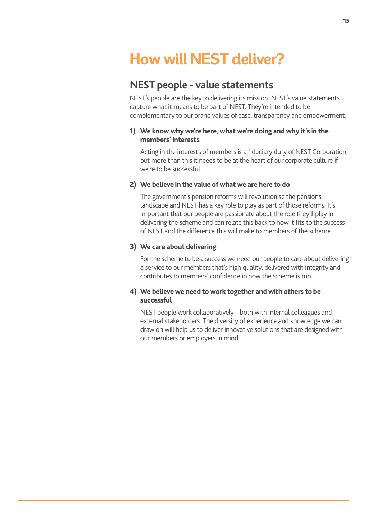# **How will NEST deliver?**

## **NEST people - value statements**

NEST's people are the key to delivering its mission. NEST's value statements capture what it means to be part of NEST. They're intended to be complementary to our brand values of ease, transparency and empowerment.

### **1) We know why we're here, what we're doing and why it's in the members' interests**

Acting in the interests of members is a fiduciary duty of NEST Corporation, but more than this it needs to be at the heart of our corporate culture if we're to be successful.

### **2) We believe in the value of what we are here to do**

The government's pension reforms will revolutionise the pensions landscape and NEST has a key role to play as part of those reforms. It's important that our people are passionate about the role they'll play in delivering the scheme and can relate this back to how it fits to the success of NEST and the difference this will make to members of the scheme.

### **3) We care about delivering**

For the scheme to be a success we need our people to care about delivering a service to our members that's high quality, delivered with integrity and contributes to members' confidence in how the scheme is run.

### **4) We believe we need to work together and with others to be successful**

NEST people work collaboratively – both with internal colleagues and external stakeholders. The diversity of experience and knowledge we can draw on will help us to deliver innovative solutions that are designed with our members or employers in mind.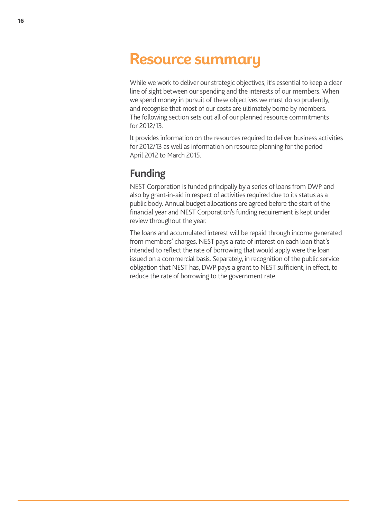## **Resource summary**

While we work to deliver our strategic objectives, it's essential to keep a clear line of sight between our spending and the interests of our members. When we spend money in pursuit of these objectives we must do so prudently, and recognise that most of our costs are ultimately borne by members. The following section sets out all of our planned resource commitments for 2012/13.

It provides information on the resources required to deliver business activities for 2012/13 as well as information on resource planning for the period April 2012 to March 2015.

## **Funding**

NEST Corporation is funded principally by a series of loans from DWP and also by grant-in-aid in respect of activities required due to its status as a public body. Annual budget allocations are agreed before the start of the financial year and NEST Corporation's funding requirement is kept under review throughout the year.

The loans and accumulated interest will be repaid through income generated from members' charges. NEST pays a rate of interest on each loan that's intended to reflect the rate of borrowing that would apply were the loan issued on a commercial basis. Separately, in recognition of the public service obligation that NEST has, DWP pays a grant to NEST sufficient, in effect, to reduce the rate of borrowing to the government rate.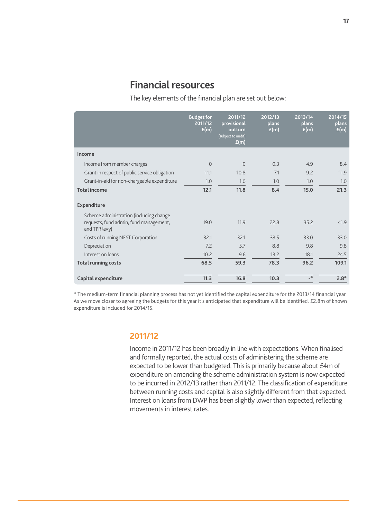## **Financial resources**

The key elements of the financial plan are set out below:

|                                                                                                    | <b>Budget for</b><br>2011/12<br>E(m) | 2011/12<br>provisional<br>outturn<br>(subject to audit)<br>E(m) | 2012/13<br>plans<br>E(m) | 2013/14<br>plans<br>E(m) | 2014/15<br>plans<br>E(m) |
|----------------------------------------------------------------------------------------------------|--------------------------------------|-----------------------------------------------------------------|--------------------------|--------------------------|--------------------------|
| Income                                                                                             |                                      |                                                                 |                          |                          |                          |
| Income from member charges                                                                         | $\Omega$                             | $\overline{0}$                                                  | 0.3                      | 4.9                      | 8.4                      |
| Grant in respect of public service obligation                                                      | 11.1                                 | 10.8                                                            | 7.1                      | 9.2                      | 11.9                     |
| Grant-in-aid for non-chargeable expenditure                                                        | 1.0                                  | 1.0                                                             | 1.0                      | 1.0                      | 1.0                      |
| <b>Total income</b>                                                                                | 12.1                                 | 11.8                                                            | 8.4                      | 15.0                     | 21.3                     |
| <b>Expenditure</b>                                                                                 |                                      |                                                                 |                          |                          |                          |
| Scheme administration (including change<br>requests, fund admin, fund management,<br>and TPR levy) | 19.0                                 | 11.9                                                            | 22.8                     | 35.2                     | 41.9                     |
| Costs of running NEST Corporation                                                                  | 32.1                                 | 32.1                                                            | 33.5                     | 33.0                     | 33.0                     |
| Depreciation                                                                                       | 7.2                                  | 5.7                                                             | 8.8                      | 9.8                      | 9.8                      |
| Interest on loans                                                                                  | 10.2                                 | 9.6                                                             | 13.2                     | 18.1                     | 24.5                     |
| <b>Total running costs</b>                                                                         | 68.5                                 | 59.3                                                            | 78.3                     | 96.2                     | 109.1                    |
| Capital expenditure                                                                                | 11.3                                 | 16.8                                                            | 10.3                     | $\mathbf{R}_{-}$         | $2.8*$                   |

\* The medium-term financial planning process has not yet identified the capital expenditure for the 2013/14 financial year. As we move closer to agreeing the budgets for this year it's anticipated that expenditure will be identified. £2.8m of known expenditure is included for 2014/15.

### **2011/12**

Income in 2011/12 has been broadly in line with expectations. When finalised and formally reported, the actual costs of administering the scheme are expected to be lower than budgeted. This is primarily because about £4m of expenditure on amending the scheme administration system is now expected to be incurred in 2012/13 rather than 2011/12. The classification of expenditure between running costs and capital is also slightly different from that expected. Interest on loans from DWP has been slightly lower than expected, reflecting movements in interest rates.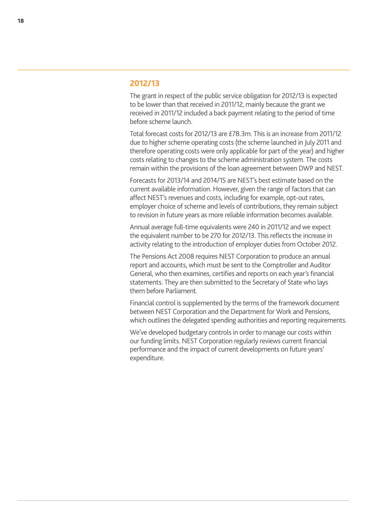#### **2012/13**

The grant in respect of the public service obligation for 2012/13 is expected to be lower than that received in 2011/12, mainly because the grant we received in 2011/12 included a back payment relating to the period of time before scheme launch.

Total forecast costs for 2012/13 are £78.3m. This is an increase from 2011/12 due to higher scheme operating costs (the scheme launched in July 2011 and therefore operating costs were only applicable for part of the year) and higher costs relating to changes to the scheme administration system. The costs remain within the provisions of the loan agreement between DWP and NEST.

Forecasts for 2013/14 and 2014/15 are NEST's best estimate based on the current available information. However, given the range of factors that can affect NEST's revenues and costs, including for example, opt-out rates, employer choice of scheme and levels of contributions, they remain subject to revision in future years as more reliable information becomes available.

Annual average full-time equivalents were 240 in 2011/12 and we expect the equivalent number to be 270 for 2012/13. This reflects the increase in activity relating to the introduction of employer duties from October 2012.

The Pensions Act 2008 requires NEST Corporation to produce an annual report and accounts, which must be sent to the Comptroller and Auditor General, who then examines, certifies and reports on each year's financial statements. They are then submitted to the Secretary of State who lays them before Parliament.

Financial control is supplemented by the terms of the framework document between NEST Corporation and the Department for Work and Pensions, which outlines the delegated spending authorities and reporting requirements.

We've developed budgetary controls in order to manage our costs within our funding limits. NEST Corporation regularly reviews current financial performance and the impact of current developments on future years' expenditure.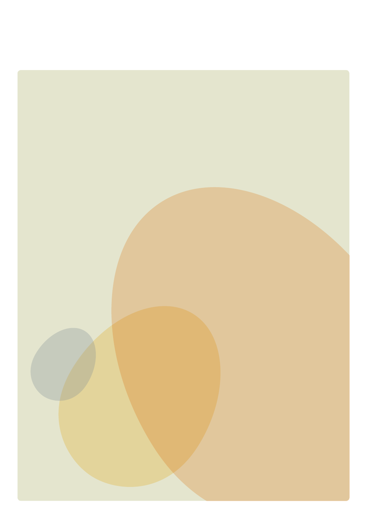